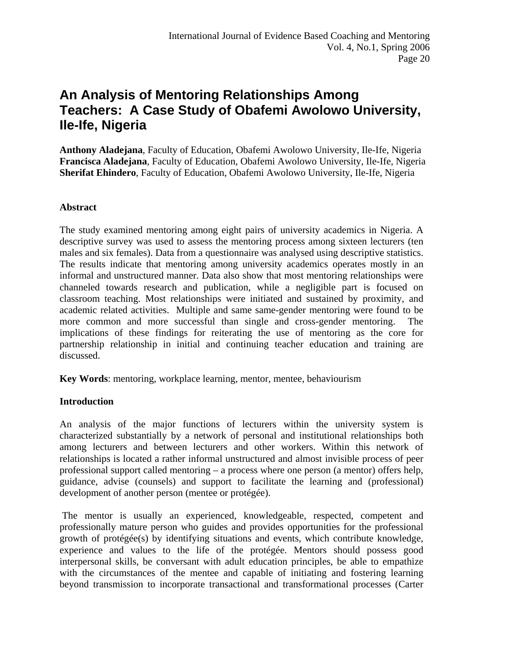# **An Analysis of Mentoring Relationships Among Teachers: A Case Study of Obafemi Awolowo University, Ile-Ife, Nigeria**

**Anthony Aladejana**, Faculty of Education, Obafemi Awolowo University, Ile-Ife, Nigeria **Francisca Aladejana**, Faculty of Education, Obafemi Awolowo University, Ile-Ife, Nigeria **Sherifat Ehindero**, Faculty of Education, Obafemi Awolowo University, Ile-Ife, Nigeria

## **Abstract**

The study examined mentoring among eight pairs of university academics in Nigeria. A descriptive survey was used to assess the mentoring process among sixteen lecturers (ten males and six females). Data from a questionnaire was analysed using descriptive statistics. The results indicate that mentoring among university academics operates mostly in an informal and unstructured manner. Data also show that most mentoring relationships were channeled towards research and publication, while a negligible part is focused on classroom teaching. Most relationships were initiated and sustained by proximity, and academic related activities. Multiple and same same-gender mentoring were found to be more common and more successful than single and cross-gender mentoring. The implications of these findings for reiterating the use of mentoring as the core for partnership relationship in initial and continuing teacher education and training are discussed.

**Key Words**: mentoring, workplace learning, mentor, mentee, behaviourism

### **Introduction**

An analysis of the major functions of lecturers within the university system is characterized substantially by a network of personal and institutional relationships both among lecturers and between lecturers and other workers. Within this network of relationships is located a rather informal unstructured and almost invisible process of peer professional support called mentoring – a process where one person (a mentor) offers help, guidance, advise (counsels) and support to facilitate the learning and (professional) development of another person (mentee or protégée).

 The mentor is usually an experienced, knowledgeable, respected, competent and professionally mature person who guides and provides opportunities for the professional growth of protégée(s) by identifying situations and events, which contribute knowledge, experience and values to the life of the protégée. Mentors should possess good interpersonal skills, be conversant with adult education principles, be able to empathize with the circumstances of the mentee and capable of initiating and fostering learning beyond transmission to incorporate transactional and transformational processes (Carter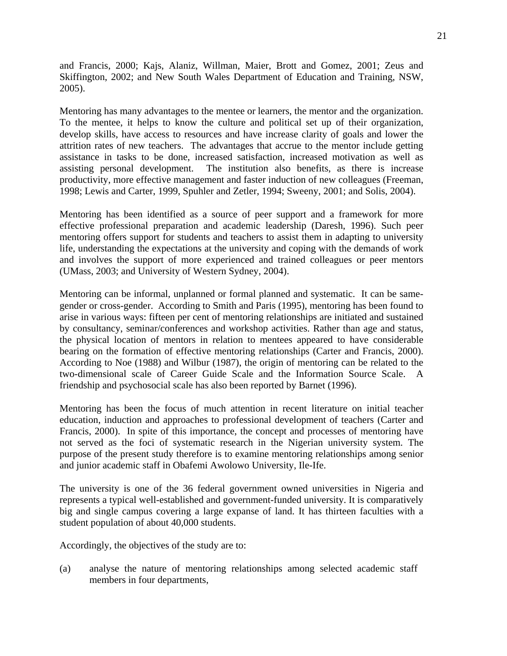and Francis, 2000; Kajs, Alaniz, Willman, Maier, Brott and Gomez, 2001; Zeus and Skiffington, 2002; and New South Wales Department of Education and Training, NSW, 2005).

Mentoring has many advantages to the mentee or learners, the mentor and the organization. To the mentee, it helps to know the culture and political set up of their organization, develop skills, have access to resources and have increase clarity of goals and lower the attrition rates of new teachers. The advantages that accrue to the mentor include getting assistance in tasks to be done, increased satisfaction, increased motivation as well as assisting personal development. The institution also benefits, as there is increase productivity, more effective management and faster induction of new colleagues (Freeman, 1998; Lewis and Carter, 1999, Spuhler and Zetler, 1994; Sweeny, 2001; and Solis, 2004).

Mentoring has been identified as a source of peer support and a framework for more effective professional preparation and academic leadership (Daresh, 1996). Such peer mentoring offers support for students and teachers to assist them in adapting to university life, understanding the expectations at the university and coping with the demands of work and involves the support of more experienced and trained colleagues or peer mentors (UMass, 2003; and University of Western Sydney, 2004).

Mentoring can be informal, unplanned or formal planned and systematic. It can be samegender or cross-gender. According to Smith and Paris (1995), mentoring has been found to arise in various ways: fifteen per cent of mentoring relationships are initiated and sustained by consultancy, seminar/conferences and workshop activities. Rather than age and status, the physical location of mentors in relation to mentees appeared to have considerable bearing on the formation of effective mentoring relationships (Carter and Francis, 2000). According to Noe (1988) and Wilbur (1987), the origin of mentoring can be related to the two-dimensional scale of Career Guide Scale and the Information Source Scale. A friendship and psychosocial scale has also been reported by Barnet (1996).

Mentoring has been the focus of much attention in recent literature on initial teacher education, induction and approaches to professional development of teachers (Carter and Francis, 2000). In spite of this importance, the concept and processes of mentoring have not served as the foci of systematic research in the Nigerian university system. The purpose of the present study therefore is to examine mentoring relationships among senior and junior academic staff in Obafemi Awolowo University, Ile-Ife.

The university is one of the 36 federal government owned universities in Nigeria and represents a typical well-established and government-funded university. It is comparatively big and single campus covering a large expanse of land. It has thirteen faculties with a student population of about 40,000 students.

Accordingly, the objectives of the study are to:

(a) analyse the nature of mentoring relationships among selected academic staff members in four departments,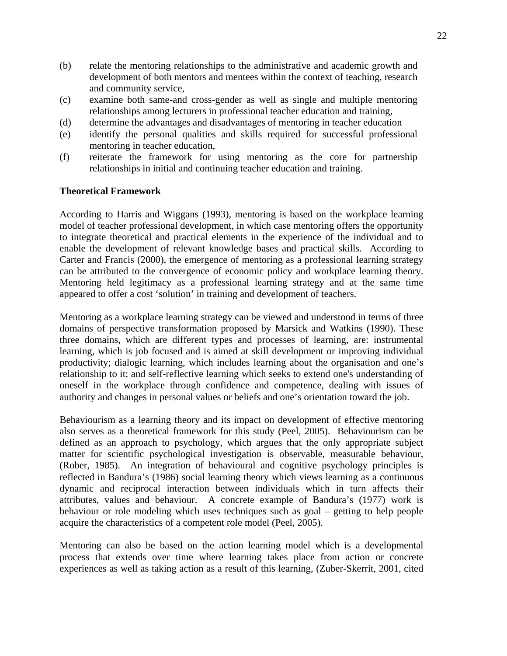- (b) relate the mentoring relationships to the administrative and academic growth and development of both mentors and mentees within the context of teaching, research and community service,
- (c) examine both same-and cross-gender as well as single and multiple mentoring relationships among lecturers in professional teacher education and training,
- (d) determine the advantages and disadvantages of mentoring in teacher education
- (e) identify the personal qualities and skills required for successful professional mentoring in teacher education,
- (f) reiterate the framework for using mentoring as the core for partnership relationships in initial and continuing teacher education and training.

#### **Theoretical Framework**

According to Harris and Wiggans (1993), mentoring is based on the workplace learning model of teacher professional development, in which case mentoring offers the opportunity to integrate theoretical and practical elements in the experience of the individual and to enable the development of relevant knowledge bases and practical skills. According to Carter and Francis (2000), the emergence of mentoring as a professional learning strategy can be attributed to the convergence of economic policy and workplace learning theory. Mentoring held legitimacy as a professional learning strategy and at the same time appeared to offer a cost 'solution' in training and development of teachers.

Mentoring as a workplace learning strategy can be viewed and understood in terms of three domains of perspective transformation proposed by Marsick and Watkins (1990). These three domains, which are different types and processes of learning, are: instrumental learning, which is job focused and is aimed at skill development or improving individual productivity; dialogic learning, which includes learning about the organisation and one's relationship to it; and self-reflective learning which seeks to extend one's understanding of oneself in the workplace through confidence and competence, dealing with issues of authority and changes in personal values or beliefs and one's orientation toward the job.

Behaviourism as a learning theory and its impact on development of effective mentoring also serves as a theoretical framework for this study (Peel, 2005). Behaviourism can be defined as an approach to psychology, which argues that the only appropriate subject matter for scientific psychological investigation is observable, measurable behaviour, (Rober, 1985). An integration of behavioural and cognitive psychology principles is reflected in Bandura's (1986) social learning theory which views learning as a continuous dynamic and reciprocal interaction between individuals which in turn affects their attributes, values and behaviour. A concrete example of Bandura's (1977) work is behaviour or role modeling which uses techniques such as goal – getting to help people acquire the characteristics of a competent role model (Peel, 2005).

Mentoring can also be based on the action learning model which is a developmental process that extends over time where learning takes place from action or concrete experiences as well as taking action as a result of this learning, (Zuber-Skerrit, 2001, cited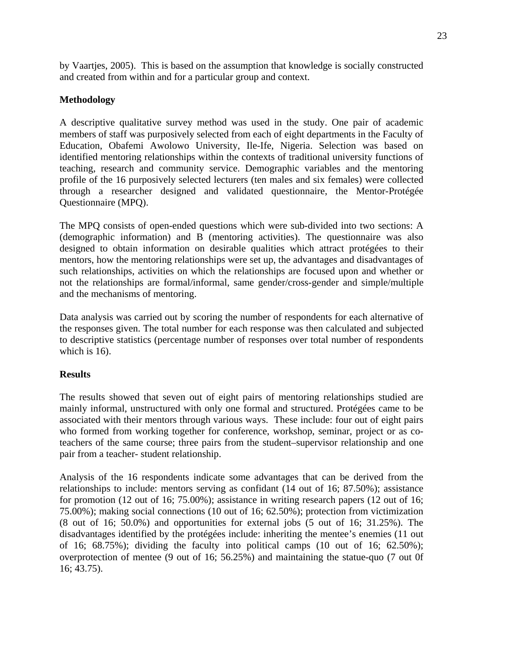by Vaartjes, 2005). This is based on the assumption that knowledge is socially constructed and created from within and for a particular group and context.

## **Methodology**

A descriptive qualitative survey method was used in the study. One pair of academic members of staff was purposively selected from each of eight departments in the Faculty of Education, Obafemi Awolowo University, Ile-Ife, Nigeria. Selection was based on identified mentoring relationships within the contexts of traditional university functions of teaching, research and community service. Demographic variables and the mentoring profile of the 16 purposively selected lecturers (ten males and six females) were collected through a researcher designed and validated questionnaire, the Mentor-Protégée Questionnaire (MPQ).

The MPQ consists of open-ended questions which were sub-divided into two sections: A (demographic information) and B (mentoring activities). The questionnaire was also designed to obtain information on desirable qualities which attract protégées to their mentors, how the mentoring relationships were set up, the advantages and disadvantages of such relationships, activities on which the relationships are focused upon and whether or not the relationships are formal/informal, same gender/cross-gender and simple/multiple and the mechanisms of mentoring.

Data analysis was carried out by scoring the number of respondents for each alternative of the responses given. The total number for each response was then calculated and subjected to descriptive statistics (percentage number of responses over total number of respondents which is 16).

### **Results**

The results showed that seven out of eight pairs of mentoring relationships studied are mainly informal, unstructured with only one formal and structured. Protégées came to be associated with their mentors through various ways. These include: four out of eight pairs who formed from working together for conference, workshop, seminar, project or as coteachers of the same course; three pairs from the student–supervisor relationship and one pair from a teacher- student relationship.

Analysis of the 16 respondents indicate some advantages that can be derived from the relationships to include: mentors serving as confidant (14 out of 16; 87.50%); assistance for promotion (12 out of 16; 75.00%); assistance in writing research papers (12 out of 16; 75.00%); making social connections (10 out of 16; 62.50%); protection from victimization (8 out of 16; 50.0%) and opportunities for external jobs (5 out of 16; 31.25%). The disadvantages identified by the protégées include: inheriting the mentee's enemies (11 out of 16;  $68.75\%$ ; dividing the faculty into political camps  $(10 \text{ out of } 16; 62.50\%);$ overprotection of mentee (9 out of 16; 56.25%) and maintaining the statue-quo (7 out 0f 16; 43.75).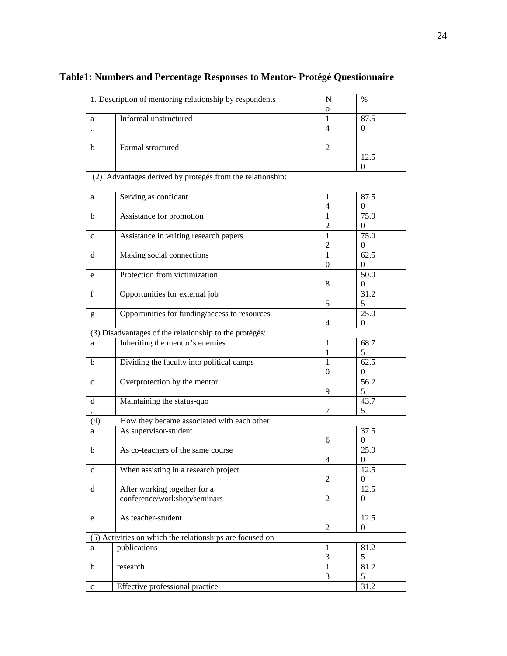| 1. Description of mentoring relationship by respondents |                                                           | N                           | $\%$              |  |  |  |  |  |
|---------------------------------------------------------|-----------------------------------------------------------|-----------------------------|-------------------|--|--|--|--|--|
|                                                         |                                                           | $\mathbf 0$                 |                   |  |  |  |  |  |
| a                                                       | Informal unstructured                                     | 1                           | 87.5              |  |  |  |  |  |
|                                                         |                                                           | 4                           | $\Omega$          |  |  |  |  |  |
| $\mathbf b$                                             | Formal structured                                         | $\overline{2}$              |                   |  |  |  |  |  |
|                                                         |                                                           |                             | 12.5              |  |  |  |  |  |
|                                                         |                                                           |                             | $\mathbf{0}$      |  |  |  |  |  |
|                                                         | (2) Advantages derived by protégés from the relationship: |                             |                   |  |  |  |  |  |
| a                                                       | Serving as confidant                                      | 1                           | 87.5              |  |  |  |  |  |
|                                                         |                                                           | $\overline{4}$              | $\mathbf{0}$      |  |  |  |  |  |
| b                                                       | Assistance for promotion                                  | 1                           | 75.0              |  |  |  |  |  |
|                                                         |                                                           | 2                           | $\Omega$          |  |  |  |  |  |
| $\mathbf c$                                             | Assistance in writing research papers                     | 1                           | 75.0              |  |  |  |  |  |
|                                                         |                                                           | $\overline{c}$              | $\mathbf{0}$      |  |  |  |  |  |
| d                                                       | Making social connections                                 | 1                           | $\overline{62.5}$ |  |  |  |  |  |
|                                                         |                                                           | $\mathbf{0}$                | $\Omega$          |  |  |  |  |  |
|                                                         | Protection from victimization                             |                             | 50.0              |  |  |  |  |  |
| e                                                       |                                                           |                             |                   |  |  |  |  |  |
|                                                         |                                                           | $\,8\,$                     | $\mathbf{0}$      |  |  |  |  |  |
| f                                                       | Opportunities for external job                            |                             | 31.2              |  |  |  |  |  |
|                                                         |                                                           | 5                           | 5                 |  |  |  |  |  |
| g                                                       | Opportunities for funding/access to resources             |                             | 25.0              |  |  |  |  |  |
|                                                         |                                                           | 4                           | $\Omega$          |  |  |  |  |  |
|                                                         | (3) Disadvantages of the relationship to the protégés:    |                             |                   |  |  |  |  |  |
| a                                                       | Inheriting the mentor's enemies                           | 1                           | 68.7              |  |  |  |  |  |
|                                                         |                                                           | 1                           | 5                 |  |  |  |  |  |
| b                                                       | Dividing the faculty into political camps                 | 1                           | 62.5              |  |  |  |  |  |
|                                                         |                                                           | $\boldsymbol{0}$            | $\boldsymbol{0}$  |  |  |  |  |  |
| $\mathbf c$                                             | Overprotection by the mentor                              |                             | 56.2              |  |  |  |  |  |
|                                                         |                                                           | 9                           | 5                 |  |  |  |  |  |
| d                                                       | Maintaining the status-quo                                |                             | 43.7              |  |  |  |  |  |
|                                                         |                                                           | 7                           | 5                 |  |  |  |  |  |
| (4)                                                     | How they became associated with each other                |                             |                   |  |  |  |  |  |
| a                                                       | As supervisor-student                                     |                             | 37.5              |  |  |  |  |  |
|                                                         |                                                           | 6                           | $\boldsymbol{0}$  |  |  |  |  |  |
| $\mathbf b$                                             | As co-teachers of the same course                         |                             | 25.0              |  |  |  |  |  |
|                                                         |                                                           |                             |                   |  |  |  |  |  |
|                                                         |                                                           | $\overline{4}$              | $\boldsymbol{0}$  |  |  |  |  |  |
| $\mathbf c$                                             | When assisting in a research project                      |                             | 12.5              |  |  |  |  |  |
|                                                         |                                                           | $\overline{2}$              | $\overline{0}$    |  |  |  |  |  |
| $\mathbf d$                                             | After working together for a                              |                             | 12.5              |  |  |  |  |  |
|                                                         | conference/workshop/seminars                              | $\mathfrak 2$               | $\mathbf{0}$      |  |  |  |  |  |
|                                                         |                                                           |                             |                   |  |  |  |  |  |
| e                                                       | As teacher-student                                        |                             | 12.5              |  |  |  |  |  |
|                                                         |                                                           | $\mathfrak{2}$              | $\mathbf{0}$      |  |  |  |  |  |
|                                                         | (5) Activities on which the relationships are focused on  |                             |                   |  |  |  |  |  |
| a                                                       | publications                                              | 1                           | 81.2              |  |  |  |  |  |
|                                                         |                                                           | $\ensuremath{\mathfrak{Z}}$ | $\sqrt{5}$        |  |  |  |  |  |
| $\mathbf b$                                             | research                                                  | $\mathbf{1}$                | 81.2              |  |  |  |  |  |
|                                                         |                                                           | $\mathfrak{Z}$              | 5                 |  |  |  |  |  |
| $\mathbf c$                                             | Effective professional practice                           |                             | 31.2              |  |  |  |  |  |
|                                                         |                                                           |                             |                   |  |  |  |  |  |

## **Table1: Numbers and Percentage Responses to Mentor- Protégé Questionnaire**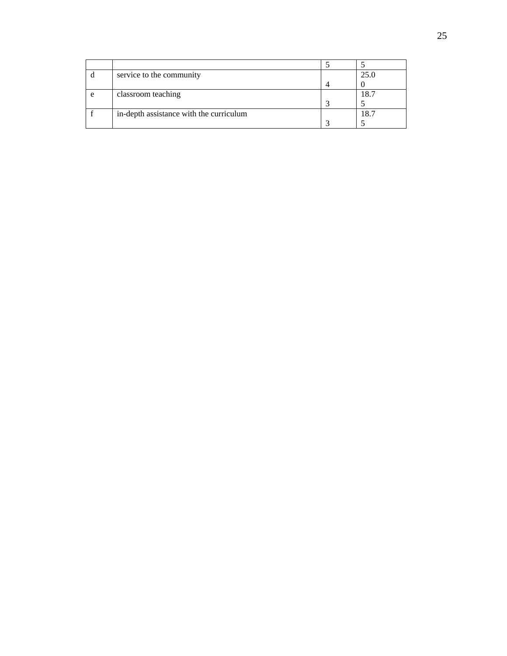| service to the community                |   | 25.0 |
|-----------------------------------------|---|------|
|                                         | Λ |      |
| classroom teaching                      |   | 18.´ |
|                                         |   |      |
| in-depth assistance with the curriculum |   | 8.   |
|                                         |   |      |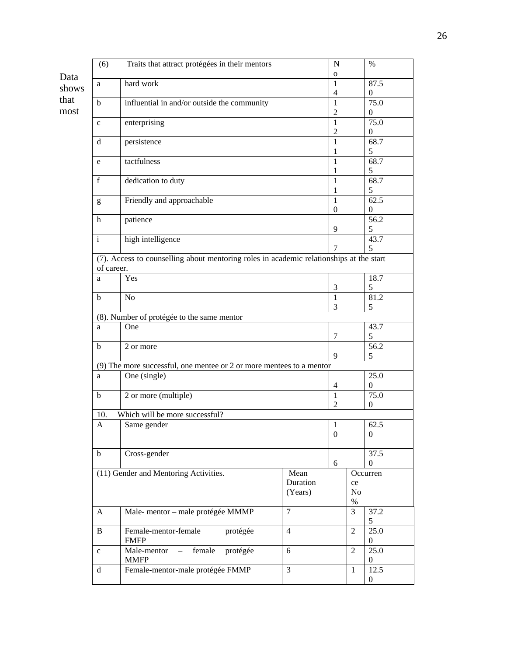|       | (6)                                                                                                   | Traits that attract protégées in their mentors                         |                     | $\mathbf N$         |                | $\%$                 |  |  |  |  |
|-------|-------------------------------------------------------------------------------------------------------|------------------------------------------------------------------------|---------------------|---------------------|----------------|----------------------|--|--|--|--|
| Data  |                                                                                                       |                                                                        |                     | 0                   |                |                      |  |  |  |  |
| shows | a                                                                                                     | hard work                                                              |                     | 1                   |                | 87.5                 |  |  |  |  |
| that  |                                                                                                       |                                                                        |                     | $\overline{4}$      |                | $\mathbf{0}$         |  |  |  |  |
| most  | $\bf b$                                                                                               | influential in and/or outside the community                            |                     | 1<br>$\overline{2}$ |                | 75.0                 |  |  |  |  |
|       | $\mathbf c$                                                                                           | enterprising                                                           |                     | $\mathbf{1}$        |                | $\mathbf{0}$<br>75.0 |  |  |  |  |
|       |                                                                                                       |                                                                        |                     | $\mathfrak{2}$      |                | $\overline{0}$       |  |  |  |  |
|       | d                                                                                                     | persistence                                                            |                     | $\mathbf{1}$        |                | 68.7                 |  |  |  |  |
|       |                                                                                                       |                                                                        |                     | 1                   |                | 5                    |  |  |  |  |
|       | e                                                                                                     | tactfulness                                                            |                     | 1                   |                | 68.7                 |  |  |  |  |
|       |                                                                                                       |                                                                        |                     | $\mathbf{1}$        |                | 5                    |  |  |  |  |
|       | f                                                                                                     | dedication to duty                                                     |                     | $\mathbf{1}$        |                | 68.7                 |  |  |  |  |
|       |                                                                                                       |                                                                        |                     | 1                   |                | 5                    |  |  |  |  |
|       | g                                                                                                     | Friendly and approachable                                              |                     | $\mathbf{1}$        |                | 62.5                 |  |  |  |  |
|       |                                                                                                       |                                                                        |                     | $\boldsymbol{0}$    |                | $\boldsymbol{0}$     |  |  |  |  |
|       | h                                                                                                     | patience                                                               |                     |                     |                | 56.2                 |  |  |  |  |
|       |                                                                                                       |                                                                        |                     | 9                   |                | 5                    |  |  |  |  |
|       | $\mathbf{i}$                                                                                          | high intelligence                                                      |                     | 7                   |                | 43.7<br>5            |  |  |  |  |
|       |                                                                                                       |                                                                        |                     |                     |                |                      |  |  |  |  |
|       | (7). Access to counselling about mentoring roles in academic relationships at the start<br>of career. |                                                                        |                     |                     |                |                      |  |  |  |  |
|       | a                                                                                                     | Yes                                                                    |                     |                     |                | 18.7                 |  |  |  |  |
|       |                                                                                                       |                                                                        |                     | $\mathfrak{Z}$      |                | 5                    |  |  |  |  |
|       | $\mathbf b$                                                                                           | No                                                                     |                     | $\mathbf{1}$        |                | 81.2                 |  |  |  |  |
|       |                                                                                                       |                                                                        |                     | 3                   |                | 5                    |  |  |  |  |
|       |                                                                                                       | (8). Number of protégée to the same mentor                             |                     |                     |                |                      |  |  |  |  |
|       | a                                                                                                     | One                                                                    |                     |                     |                | 43.7                 |  |  |  |  |
|       |                                                                                                       |                                                                        |                     | 7                   |                | 5                    |  |  |  |  |
|       | b                                                                                                     | 2 or more                                                              |                     |                     |                | 56.2                 |  |  |  |  |
|       |                                                                                                       |                                                                        |                     | 9                   |                | 5                    |  |  |  |  |
|       |                                                                                                       | $(9)$ The more successful, one mentee or 2 or more mentees to a mentor |                     |                     |                | 25.0                 |  |  |  |  |
|       | a                                                                                                     | One (single)                                                           |                     | 4                   |                | $\overline{0}$       |  |  |  |  |
|       | $\mathbf b$                                                                                           | 2 or more (multiple)                                                   |                     | $\mathbf{1}$        |                | 75.0                 |  |  |  |  |
|       |                                                                                                       |                                                                        |                     | $\overline{2}$      |                | $\boldsymbol{0}$     |  |  |  |  |
|       | Which will be more successful?<br>10.                                                                 |                                                                        |                     |                     |                |                      |  |  |  |  |
|       | $\overline{A}$                                                                                        | Same gender                                                            |                     | $\mathbf{1}$        |                | 62.5                 |  |  |  |  |
|       |                                                                                                       |                                                                        |                     | $\boldsymbol{0}$    |                | $\boldsymbol{0}$     |  |  |  |  |
|       |                                                                                                       |                                                                        |                     |                     |                |                      |  |  |  |  |
|       | $\mathbf b$                                                                                           | Cross-gender                                                           |                     |                     |                | 37.5                 |  |  |  |  |
|       |                                                                                                       |                                                                        |                     | 6                   |                | $\overline{0}$       |  |  |  |  |
|       |                                                                                                       | (11) Gender and Mentoring Activities.                                  | Mean                |                     |                | Occurren             |  |  |  |  |
|       |                                                                                                       |                                                                        | Duration<br>(Years) |                     | ce<br>$\rm No$ |                      |  |  |  |  |
|       |                                                                                                       |                                                                        |                     |                     | $\%$           |                      |  |  |  |  |
|       | A                                                                                                     | Male-mentor - male protégée MMMP                                       | $\tau$              |                     | $\mathfrak{Z}$ | 37.2                 |  |  |  |  |
|       |                                                                                                       |                                                                        |                     |                     |                | 5                    |  |  |  |  |
|       | $\, {\bf B}$                                                                                          | Female-mentor-female<br>protégée                                       | $\overline{4}$      |                     | $\overline{2}$ | 25.0                 |  |  |  |  |
|       |                                                                                                       | <b>FMFP</b>                                                            |                     |                     |                | 0                    |  |  |  |  |
|       | $\mathbf{C}$                                                                                          | protégée<br>female<br>Male-mentor                                      | 6                   |                     | $\overline{2}$ | 25.0                 |  |  |  |  |
|       |                                                                                                       | <b>MMFP</b>                                                            |                     |                     |                | $\overline{0}$       |  |  |  |  |
|       | $\mathbf d$                                                                                           | Female-mentor-male protégée FMMP                                       | $\mathfrak{Z}$      |                     | $\mathbf{1}$   | 12.5                 |  |  |  |  |
|       |                                                                                                       |                                                                        |                     |                     |                | 0                    |  |  |  |  |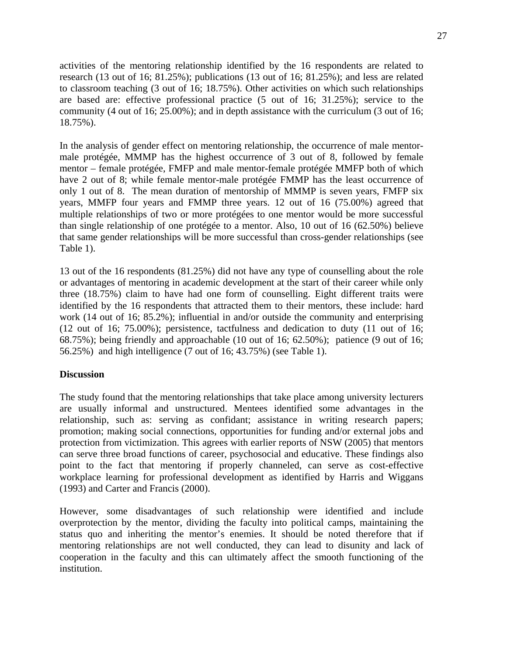activities of the mentoring relationship identified by the 16 respondents are related to research (13 out of 16; 81.25%); publications (13 out of 16; 81.25%); and less are related to classroom teaching (3 out of 16; 18.75%). Other activities on which such relationships are based are: effective professional practice (5 out of 16; 31.25%); service to the community (4 out of 16; 25.00%); and in depth assistance with the curriculum (3 out of 16; 18.75%).

In the analysis of gender effect on mentoring relationship, the occurrence of male mentormale protégée, MMMP has the highest occurrence of 3 out of 8, followed by female mentor – female protégée, FMFP and male mentor-female protégée MMFP both of which have 2 out of 8; while female mentor-male protégée FMMP has the least occurrence of only 1 out of 8. The mean duration of mentorship of MMMP is seven years, FMFP six years, MMFP four years and FMMP three years. 12 out of 16 (75.00%) agreed that multiple relationships of two or more protégées to one mentor would be more successful than single relationship of one protégée to a mentor. Also, 10 out of 16 (62.50%) believe that same gender relationships will be more successful than cross-gender relationships (see Table 1).

13 out of the 16 respondents (81.25%) did not have any type of counselling about the role or advantages of mentoring in academic development at the start of their career while only three (18.75%) claim to have had one form of counselling. Eight different traits were identified by the 16 respondents that attracted them to their mentors, these include: hard work (14 out of 16; 85.2%); influential in and/or outside the community and enterprising (12 out of 16; 75.00%); persistence, tactfulness and dedication to duty (11 out of 16; 68.75%); being friendly and approachable (10 out of 16; 62.50%); patience (9 out of 16; 56.25%) and high intelligence (7 out of 16; 43.75%) (see Table 1).

#### **Discussion**

The study found that the mentoring relationships that take place among university lecturers are usually informal and unstructured. Mentees identified some advantages in the relationship, such as: serving as confidant; assistance in writing research papers; promotion; making social connections, opportunities for funding and/or external jobs and protection from victimization. This agrees with earlier reports of NSW (2005) that mentors can serve three broad functions of career, psychosocial and educative. These findings also point to the fact that mentoring if properly channeled, can serve as cost-effective workplace learning for professional development as identified by Harris and Wiggans (1993) and Carter and Francis (2000).

However, some disadvantages of such relationship were identified and include overprotection by the mentor, dividing the faculty into political camps, maintaining the status quo and inheriting the mentor's enemies. It should be noted therefore that if mentoring relationships are not well conducted, they can lead to disunity and lack of cooperation in the faculty and this can ultimately affect the smooth functioning of the institution.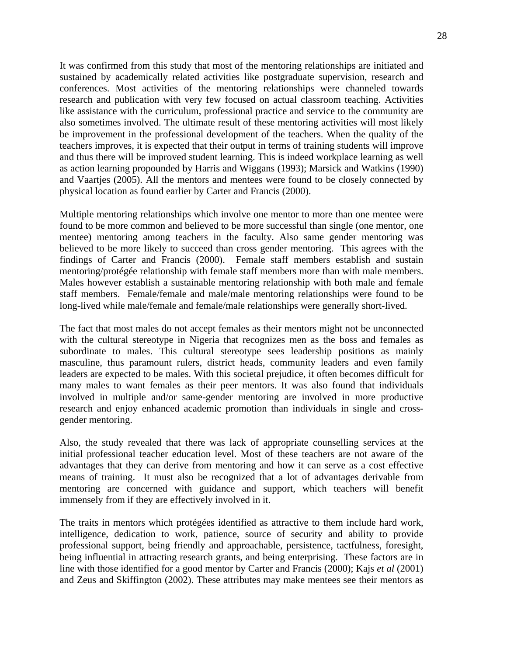It was confirmed from this study that most of the mentoring relationships are initiated and sustained by academically related activities like postgraduate supervision, research and conferences. Most activities of the mentoring relationships were channeled towards research and publication with very few focused on actual classroom teaching. Activities like assistance with the curriculum, professional practice and service to the community are also sometimes involved. The ultimate result of these mentoring activities will most likely be improvement in the professional development of the teachers. When the quality of the teachers improves, it is expected that their output in terms of training students will improve and thus there will be improved student learning. This is indeed workplace learning as well as action learning propounded by Harris and Wiggans (1993); Marsick and Watkins (1990) and Vaartjes (2005). All the mentors and mentees were found to be closely connected by physical location as found earlier by Carter and Francis (2000).

Multiple mentoring relationships which involve one mentor to more than one mentee were found to be more common and believed to be more successful than single (one mentor, one mentee) mentoring among teachers in the faculty. Also same gender mentoring was believed to be more likely to succeed than cross gender mentoring. This agrees with the findings of Carter and Francis (2000). Female staff members establish and sustain mentoring/protégée relationship with female staff members more than with male members. Males however establish a sustainable mentoring relationship with both male and female staff members. Female/female and male/male mentoring relationships were found to be long-lived while male/female and female/male relationships were generally short-lived.

The fact that most males do not accept females as their mentors might not be unconnected with the cultural stereotype in Nigeria that recognizes men as the boss and females as subordinate to males. This cultural stereotype sees leadership positions as mainly masculine, thus paramount rulers, district heads, community leaders and even family leaders are expected to be males. With this societal prejudice, it often becomes difficult for many males to want females as their peer mentors. It was also found that individuals involved in multiple and/or same-gender mentoring are involved in more productive research and enjoy enhanced academic promotion than individuals in single and crossgender mentoring.

Also, the study revealed that there was lack of appropriate counselling services at the initial professional teacher education level. Most of these teachers are not aware of the advantages that they can derive from mentoring and how it can serve as a cost effective means of training. It must also be recognized that a lot of advantages derivable from mentoring are concerned with guidance and support, which teachers will benefit immensely from if they are effectively involved in it.

The traits in mentors which protégées identified as attractive to them include hard work, intelligence, dedication to work, patience, source of security and ability to provide professional support, being friendly and approachable, persistence, tactfulness, foresight, being influential in attracting research grants, and being enterprising. These factors are in line with those identified for a good mentor by Carter and Francis (2000); Kajs *et al* (2001) and Zeus and Skiffington (2002). These attributes may make mentees see their mentors as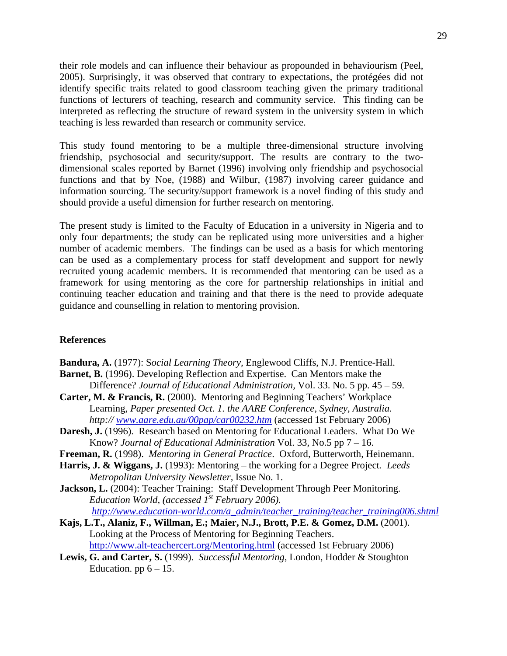their role models and can influence their behaviour as propounded in behaviourism (Peel, 2005). Surprisingly, it was observed that contrary to expectations, the protégées did not identify specific traits related to good classroom teaching given the primary traditional functions of lecturers of teaching, research and community service. This finding can be interpreted as reflecting the structure of reward system in the university system in which teaching is less rewarded than research or community service.

This study found mentoring to be a multiple three-dimensional structure involving friendship, psychosocial and security/support. The results are contrary to the twodimensional scales reported by Barnet (1996) involving only friendship and psychosocial functions and that by Noe, (1988) and Wilbur, (1987) involving career guidance and information sourcing. The security/support framework is a novel finding of this study and should provide a useful dimension for further research on mentoring.

The present study is limited to the Faculty of Education in a university in Nigeria and to only four departments; the study can be replicated using more universities and a higher number of academic members. The findings can be used as a basis for which mentoring can be used as a complementary process for staff development and support for newly recruited young academic members. It is recommended that mentoring can be used as a framework for using mentoring as the core for partnership relationships in initial and continuing teacher education and training and that there is the need to provide adequate guidance and counselling in relation to mentoring provision.

#### **References**

**Bandura, A.** (1977): S*ocial Learning Theory,* Englewood Cliffs, N.J. Prentice-Hall.

- **Barnet, B.** (1996). Developing Reflection and Expertise. Can Mentors make the Difference? *Journal of Educational Administration,* Vol. 33. No. 5 pp. 45 – 59.
- **Carter, M. & Francis, R.** (2000). Mentoring and Beginning Teachers' Workplace Learning, *Paper presented Oct. 1. the AARE Conference, Sydney, Australia. http:// [www.aare.edu.au/00pap/car00232.htm](http://www.aare.edu.au/00pap/car00232.htm)* (accessed 1st February 2006)
- **Daresh, J.** (1996). Research based on Mentoring for Educational Leaders. What Do We Know? *Journal of Educational Administration* Vol. 33, No.5 pp 7 – 16.
- **Freeman, R.** (1998). *Mentoring in General Practice*. Oxford, Butterworth, Heinemann.
- **Harris, J. & Wiggans, J.** (1993): Mentoring the working for a Degree Project*. Leeds Metropolitan University Newsletter,* Issue No. 1.
- **Jackson, L.** (2004): Teacher Training: Staff Development Through Peer Monitoring*. Education World, (accessed 1<sup>st</sup> February 2006). [http://www.education-world.com/a\\_admin/teacher\\_training/teacher\\_training006.shtml](http://www.education-world.com/a_admin/teacher_training/teacher_training006.shtml)*
- **Kajs, L.T., Alaniz, F., Willman, E.; Maier, N.J., Brott, P.E. & Gomez, D.M.** (2001). Looking at the Process of Mentoring for Beginning Teachers. <http://www.alt-teachercert.org/Mentoring.html> (accessed 1st February 2006)
- **Lewis, G. and Carter, S.** (1999). *Successful Mentoring*, London, Hodder & Stoughton Education. pp  $6 - 15$ .